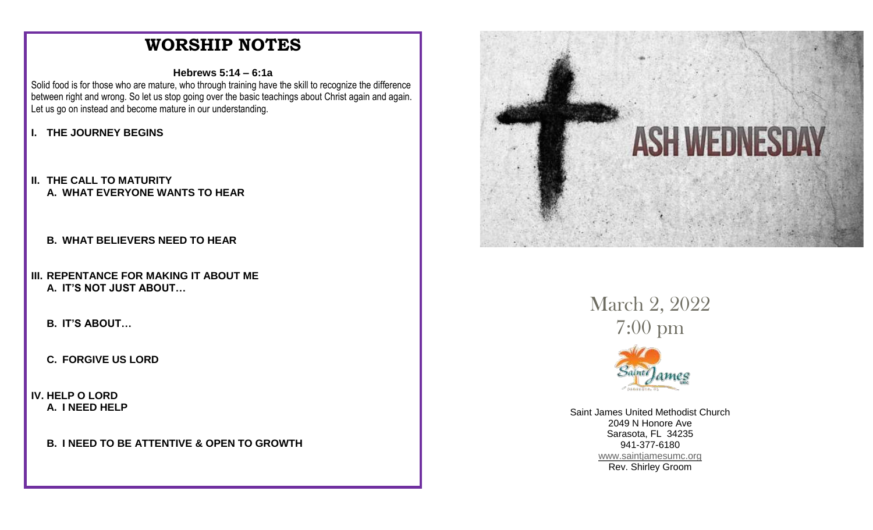# **WORSHIP NOTES**

#### **Hebrews 5:14 – 6:1a**

Solid food is for those who are mature, who through training have the skill to recognize the difference between right and wrong. So let us stop going over the basic teachings about Christ again and again. Let us go on instead and become mature in our understanding.

### **I. THE JOURNEY BEGINS**

- **II. THE CALL TO MATURITY A. WHAT EVERYONE WANTS TO HEAR**
	- **B. WHAT BELIEVERS NEED TO HEAR**
- **III. REPENTANCE FOR MAKING IT ABOUT ME A. IT'S NOT JUST ABOUT…**
	- **B. IT'S ABOUT…**
	- **C. FORGIVE US LORD**
- **IV. HELP O LORD A. I NEED HELP**

#### **B. I NEED TO BE ATTENTIVE & OPEN TO GROWTH**



March 2, 2022 7:00 pm



Saint James United Methodist Church 2049 N Honore Ave Sarasota, FL 34235 941-377-6180 [www.saintjamesumc.org](http://www.saintjamesumc.org/) Rev. Shirley Groom